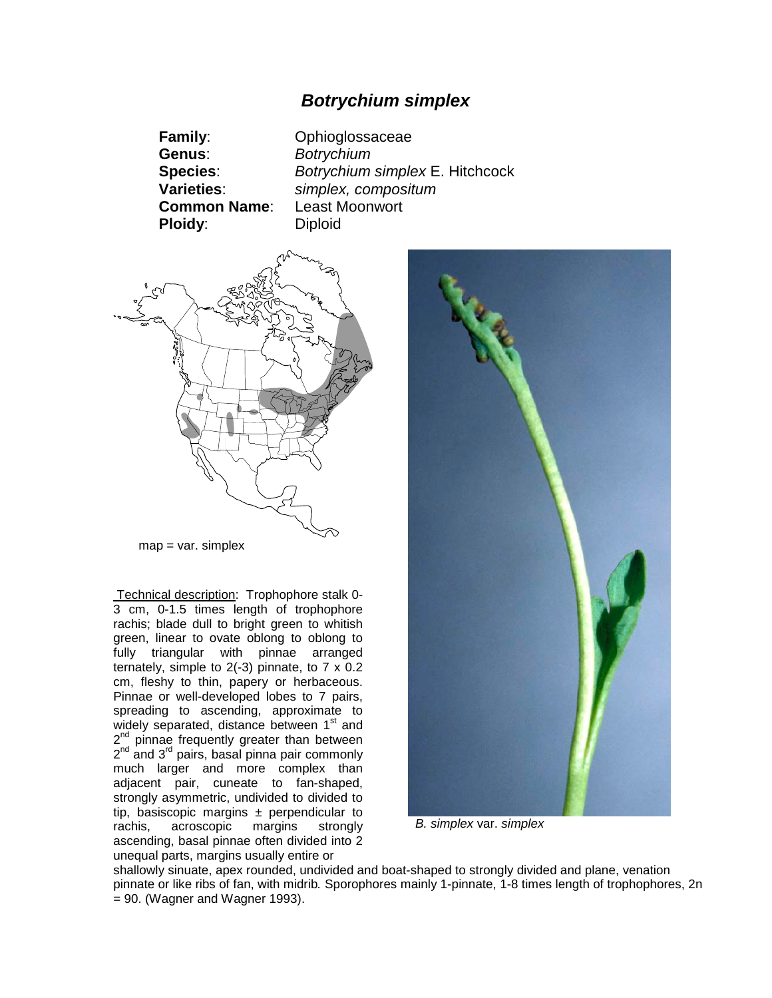# *Botrychium simplex*

**Family**: Ophioglossaceae **Genus**: *Botrychium* **Species**: *Botrychium simplex* E. Hitchcock **Varieties**: *simplex, compositum* **Common Name**: Least Moonwort **Ploidy:** Diploid



 $map = var$ . simplex

Technical description: Trophophore stalk 0- 3 cm, 0-1.5 times length of trophophore rachis; blade dull to bright green to whitish green, linear to ovate oblong to oblong to fully triangular with pinnae arranged ternately, simple to 2(-3) pinnate, to 7 x 0.2 cm, fleshy to thin, papery or herbaceous. Pinnae or well-developed lobes to 7 pairs, spreading to ascending, approximate to widely separated, distance between 1<sup>st</sup> and 2<sup>nd</sup> pinnae frequently greater than between 2<sup>nd</sup> and 3<sup>rd</sup> pairs, basal pinna pair commonly much larger and more complex than adjacent pair, cuneate to fan-shaped, strongly asymmetric, undivided to divided to tip, basiscopic margins  $\pm$  perpendicular to rachis, acroscopic margins strongly acroscopic margins strongly ascending, basal pinnae often divided into 2 unequal parts, margins usually entire or



*B. simplex* var. *simplex*

shallowly sinuate, apex rounded, undivided and boat-shaped to strongly divided and plane, venation pinnate or like ribs of fan, with midrib*.* Sporophores mainly 1-pinnate, 1-8 times length of trophophores, 2n  $= 90$ . (Wagner and Wagner 1993).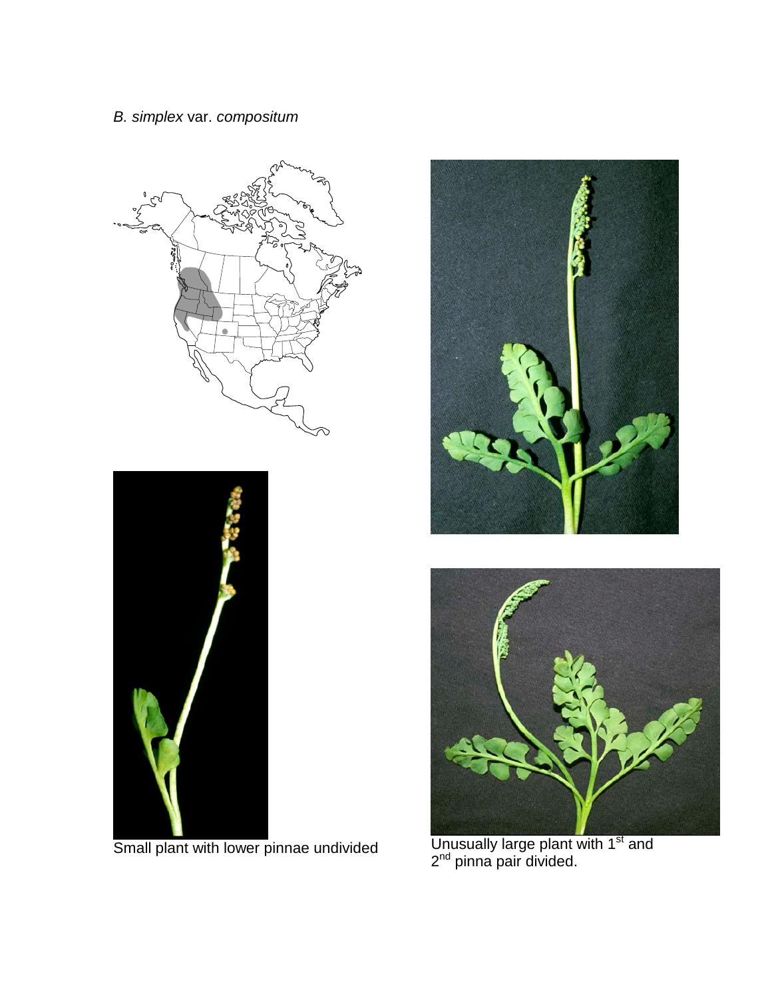



Small plant with lower pinnae undivided





Unusually large plant with  $1<sup>st</sup>$  and  $2<sup>nd</sup>$  pinna pair divided.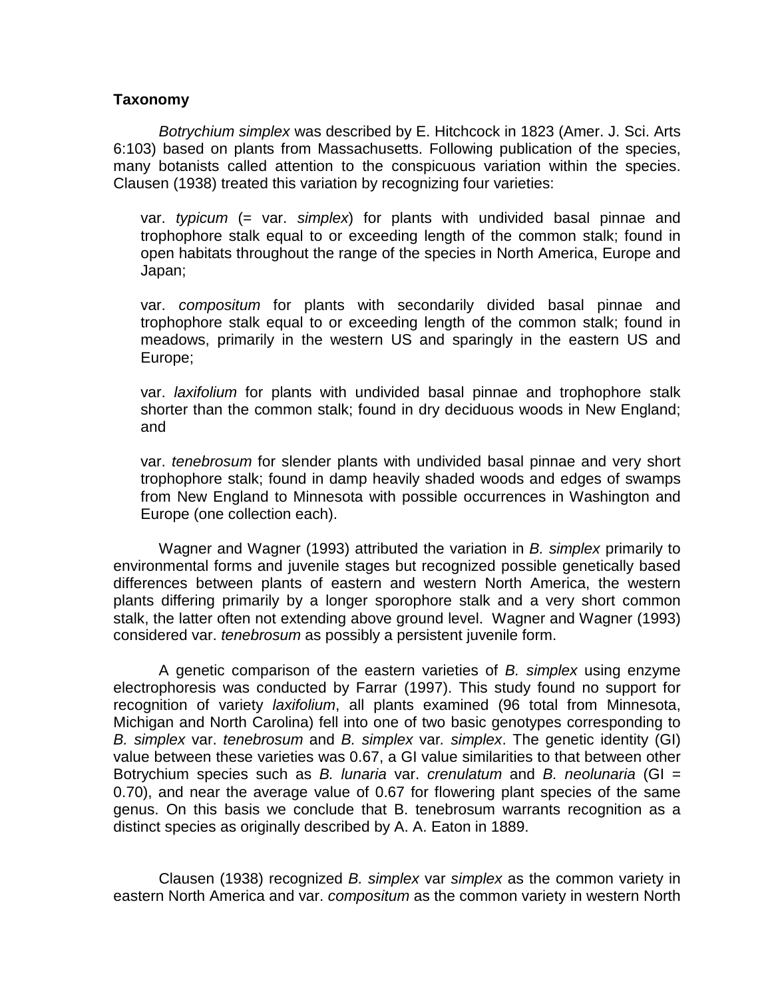### **Taxonomy**

*Botrychium simplex* was described by E. Hitchcock in 1823 (Amer. J. Sci. Arts 6:103) based on plants from Massachusetts. Following publication of the species, many botanists called attention to the conspicuous variation within the species. Clausen (1938) treated this variation by recognizing four varieties:

var. *typicum* (= var. *simplex*) for plants with undivided basal pinnae and trophophore stalk equal to or exceeding length of the common stalk; found in open habitats throughout the range of the species in North America, Europe and Japan;

var. *compositum* for plants with secondarily divided basal pinnae and trophophore stalk equal to or exceeding length of the common stalk; found in meadows, primarily in the western US and sparingly in the eastern US and Europe;

var. *laxifolium* for plants with undivided basal pinnae and trophophore stalk shorter than the common stalk; found in dry deciduous woods in New England; and

var. *tenebrosum* for slender plants with undivided basal pinnae and very short trophophore stalk; found in damp heavily shaded woods and edges of swamps from New England to Minnesota with possible occurrences in Washington and Europe (one collection each).

Wagner and Wagner (1993) attributed the variation in *B. simplex* primarily to environmental forms and juvenile stages but recognized possible genetically based differences between plants of eastern and western North America, the western plants differing primarily by a longer sporophore stalk and a very short common stalk, the latter often not extending above ground level. Wagner and Wagner (1993) considered var. *tenebrosum* as possibly a persistent juvenile form.

A genetic comparison of the eastern varieties of *B. simplex* using enzyme electrophoresis was conducted by Farrar (1997). This study found no support for recognition of variety *laxifolium*, all plants examined (96 total from Minnesota, Michigan and North Carolina) fell into one of two basic genotypes corresponding to *B. simplex* var. *tenebrosum* and *B. simplex* var*. simplex*. The genetic identity (GI) value between these varieties was 0.67, a GI value similarities to that between other Botrychium species such as *B. lunaria* var. *crenulatum* and *B. neolunaria* (GI = 0.70), and near the average value of 0.67 for flowering plant species of the same genus. On this basis we conclude that B. tenebrosum warrants recognition as a distinct species as originally described by A. A. Eaton in 1889.

Clausen (1938) recognized *B. simplex* var *simplex* as the common variety in eastern North America and var. *compositum* as the common variety in western North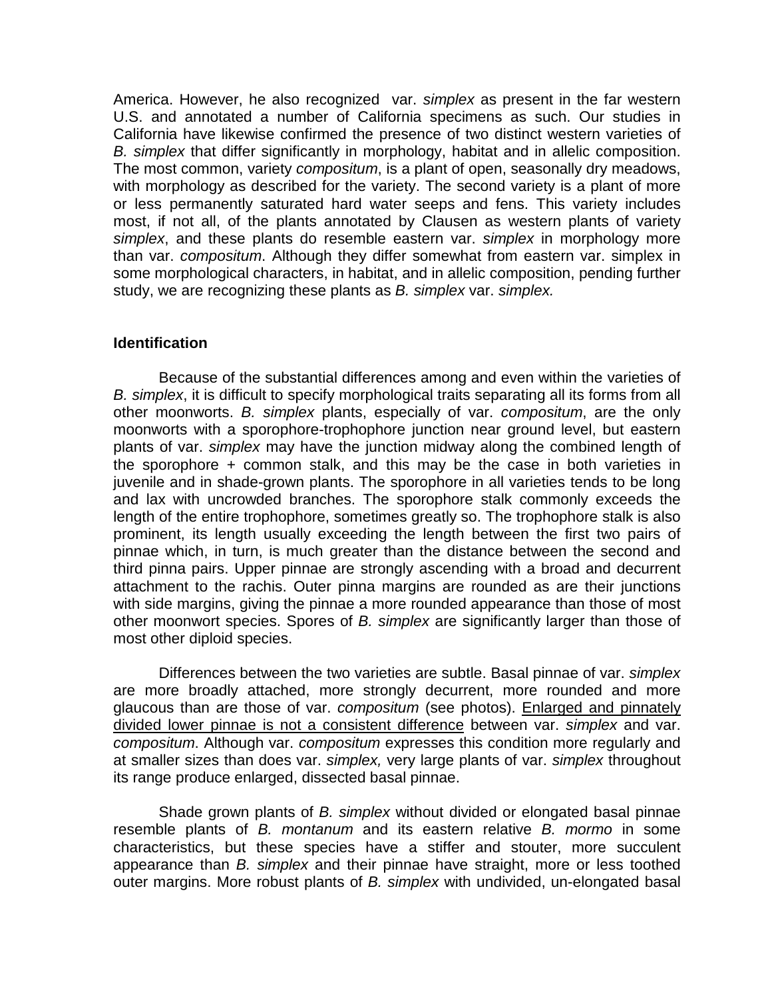America. However, he also recognized var. *simplex* as present in the far western U.S. and annotated a number of California specimens as such. Our studies in California have likewise confirmed the presence of two distinct western varieties of *B. simplex* that differ significantly in morphology, habitat and in allelic composition. The most common, variety *compositum*, is a plant of open, seasonally dry meadows, with morphology as described for the variety. The second variety is a plant of more or less permanently saturated hard water seeps and fens. This variety includes most, if not all, of the plants annotated by Clausen as western plants of variety *simplex*, and these plants do resemble eastern var. *simplex* in morphology more than var. *compositum*. Although they differ somewhat from eastern var. simplex in some morphological characters, in habitat, and in allelic composition, pending further study, we are recognizing these plants as *B. simplex* var. *simplex.*

## **Identification**

Because of the substantial differences among and even within the varieties of *B. simplex*, it is difficult to specify morphological traits separating all its forms from all other moonworts. *B. simplex* plants, especially of var. *compositum*, are the only moonworts with a sporophore-trophophore junction near ground level, but eastern plants of var. *simplex* may have the junction midway along the combined length of the sporophore + common stalk, and this may be the case in both varieties in juvenile and in shade-grown plants. The sporophore in all varieties tends to be long and lax with uncrowded branches. The sporophore stalk commonly exceeds the length of the entire trophophore, sometimes greatly so. The trophophore stalk is also prominent, its length usually exceeding the length between the first two pairs of pinnae which, in turn, is much greater than the distance between the second and third pinna pairs. Upper pinnae are strongly ascending with a broad and decurrent attachment to the rachis. Outer pinna margins are rounded as are their junctions with side margins, giving the pinnae a more rounded appearance than those of most other moonwort species. Spores of *B. simplex* are significantly larger than those of most other diploid species.

Differences between the two varieties are subtle. Basal pinnae of var. *simplex* are more broadly attached, more strongly decurrent, more rounded and more glaucous than are those of var. *compositum* (see photos). Enlarged and pinnately divided lower pinnae is not a consistent difference between var. *simplex* and var. *compositum*. Although var. *compositum* expresses this condition more regularly and at smaller sizes than does var. *simplex,* very large plants of var. *simplex* throughout its range produce enlarged, dissected basal pinnae.

Shade grown plants of *B. simplex* without divided or elongated basal pinnae resemble plants of *B. montanum* and its eastern relative *B. mormo* in some characteristics, but these species have a stiffer and stouter, more succulent appearance than *B. simplex* and their pinnae have straight, more or less toothed outer margins. More robust plants of *B. simplex* with undivided, un-elongated basal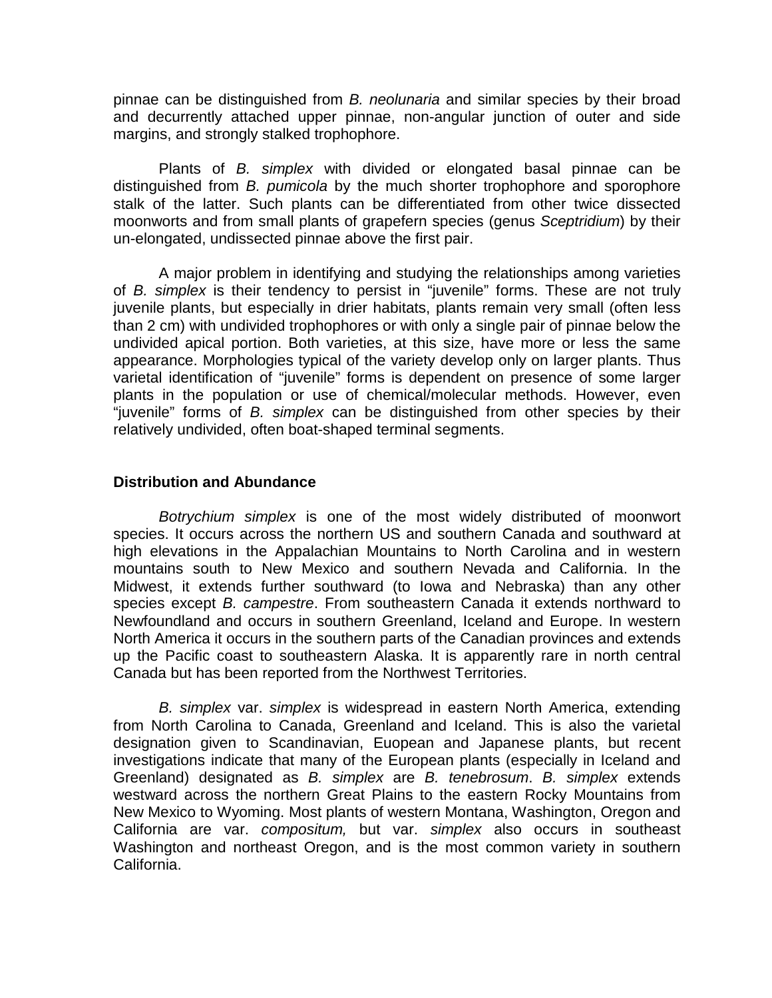pinnae can be distinguished from *B. neolunaria* and similar species by their broad and decurrently attached upper pinnae, non-angular junction of outer and side margins, and strongly stalked trophophore.

Plants of *B. simplex* with divided or elongated basal pinnae can be distinguished from *B. pumicola* by the much shorter trophophore and sporophore stalk of the latter. Such plants can be differentiated from other twice dissected moonworts and from small plants of grapefern species (genus *Sceptridium*) by their un-elongated, undissected pinnae above the first pair.

A major problem in identifying and studying the relationships among varieties of *B. simplex* is their tendency to persist in "juvenile" forms. These are not truly juvenile plants, but especially in drier habitats, plants remain very small (often less than 2 cm) with undivided trophophores or with only a single pair of pinnae below the undivided apical portion. Both varieties, at this size, have more or less the same appearance. Morphologies typical of the variety develop only on larger plants. Thus varietal identification of "juvenile" forms is dependent on presence of some larger plants in the population or use of chemical/molecular methods. However, even "juvenile" forms of *B. simplex* can be distinguished from other species by their relatively undivided, often boat-shaped terminal segments.

### **Distribution and Abundance**

*Botrychium simplex* is one of the most widely distributed of moonwort species. It occurs across the northern US and southern Canada and southward at high elevations in the Appalachian Mountains to North Carolina and in western mountains south to New Mexico and southern Nevada and California. In the Midwest, it extends further southward (to Iowa and Nebraska) than any other species except *B. campestre*. From southeastern Canada it extends northward to Newfoundland and occurs in southern Greenland, Iceland and Europe. In western North America it occurs in the southern parts of the Canadian provinces and extends up the Pacific coast to southeastern Alaska. It is apparently rare in north central Canada but has been reported from the Northwest Territories.

*B. simplex* var. *simplex* is widespread in eastern North America, extending from North Carolina to Canada, Greenland and Iceland. This is also the varietal designation given to Scandinavian, Euopean and Japanese plants, but recent investigations indicate that many of the European plants (especially in Iceland and Greenland) designated as *B. simplex* are *B. tenebrosum*. *B. simplex* extends westward across the northern Great Plains to the eastern Rocky Mountains from New Mexico to Wyoming. Most plants of western Montana, Washington, Oregon and California are var. *compositum,* but var. *simplex* also occurs in southeast Washington and northeast Oregon, and is the most common variety in southern California.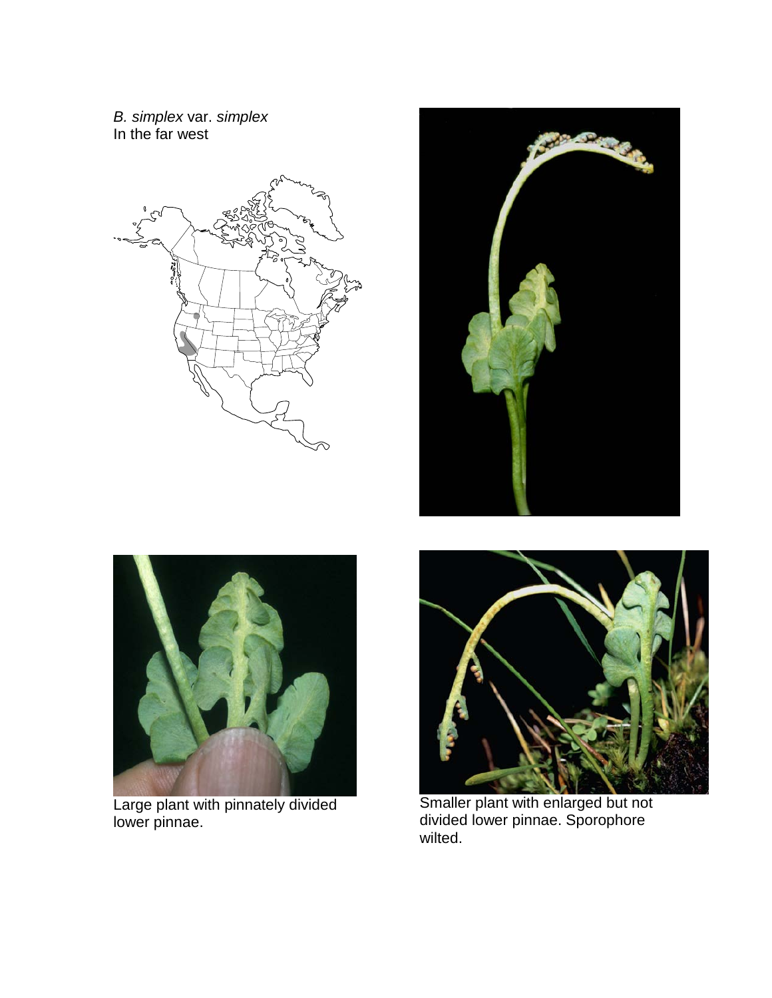*B. simplex* var. *simplex*  In the far west





Large plant with pinnately divided lower pinnae.





Smaller plant with enlarged but not divided lower pinnae. Sporophore wilted.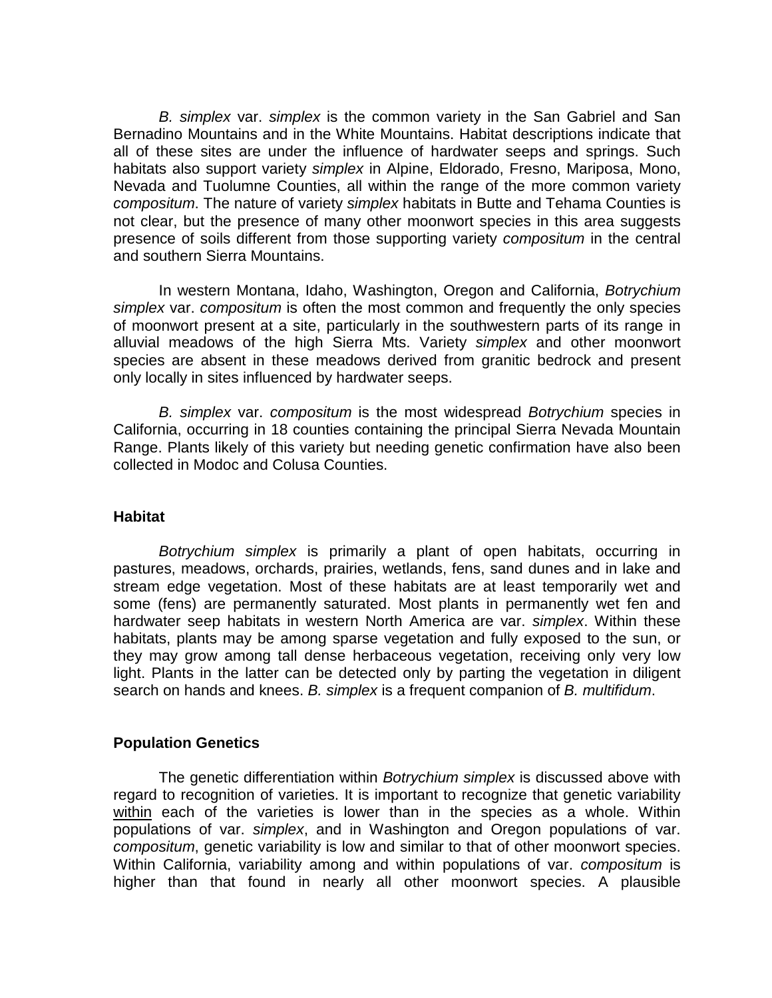*B. simplex* var. *simplex* is the common variety in the San Gabriel and San Bernadino Mountains and in the White Mountains. Habitat descriptions indicate that all of these sites are under the influence of hardwater seeps and springs. Such habitats also support variety *simplex* in Alpine, Eldorado, Fresno, Mariposa, Mono, Nevada and Tuolumne Counties, all within the range of the more common variety *compositum*. The nature of variety *simplex* habitats in Butte and Tehama Counties is not clear, but the presence of many other moonwort species in this area suggests presence of soils different from those supporting variety *compositum* in the central and southern Sierra Mountains.

In western Montana, Idaho, Washington, Oregon and California, *Botrychium simplex* var. *compositum* is often the most common and frequently the only species of moonwort present at a site, particularly in the southwestern parts of its range in alluvial meadows of the high Sierra Mts. Variety *simplex* and other moonwort species are absent in these meadows derived from granitic bedrock and present only locally in sites influenced by hardwater seeps.

*B. simplex* var. *compositum* is the most widespread *Botrychium* species in California, occurring in 18 counties containing the principal Sierra Nevada Mountain Range. Plants likely of this variety but needing genetic confirmation have also been collected in Modoc and Colusa Counties.

#### **Habitat**

*Botrychium simplex* is primarily a plant of open habitats, occurring in pastures, meadows, orchards, prairies, wetlands, fens, sand dunes and in lake and stream edge vegetation. Most of these habitats are at least temporarily wet and some (fens) are permanently saturated. Most plants in permanently wet fen and hardwater seep habitats in western North America are var. *simplex*. Within these habitats, plants may be among sparse vegetation and fully exposed to the sun, or they may grow among tall dense herbaceous vegetation, receiving only very low light. Plants in the latter can be detected only by parting the vegetation in diligent search on hands and knees. *B. simplex* is a frequent companion of *B. multifidum*.

### **Population Genetics**

The genetic differentiation within *Botrychium simplex* is discussed above with regard to recognition of varieties. It is important to recognize that genetic variability within each of the varieties is lower than in the species as a whole. Within populations of var. *simplex*, and in Washington and Oregon populations of var. *compositum*, genetic variability is low and similar to that of other moonwort species. Within California, variability among and within populations of var. *compositum* is higher than that found in nearly all other moonwort species. A plausible